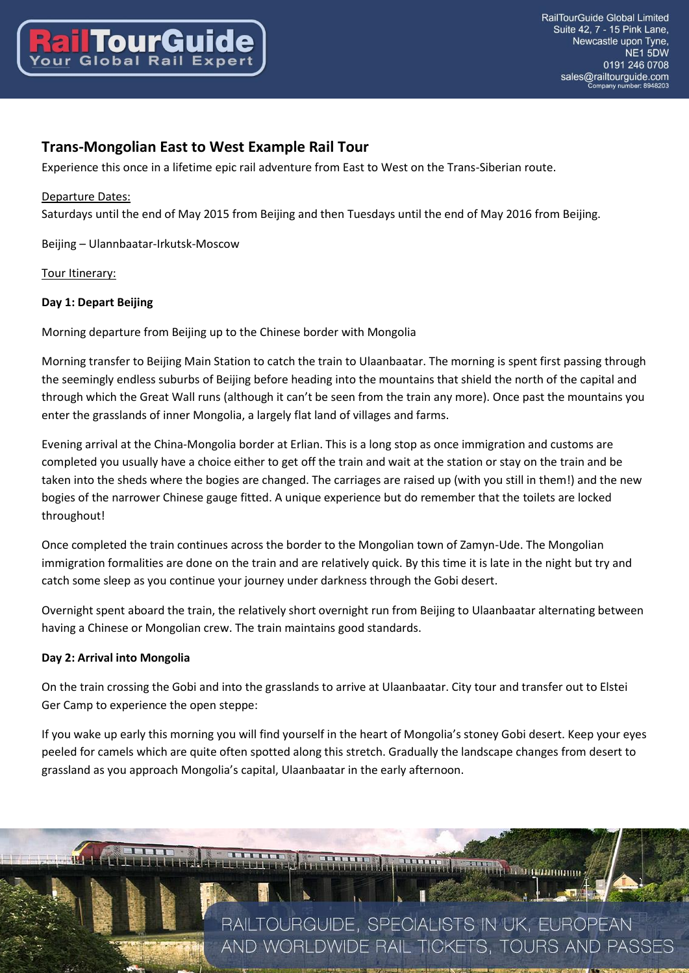

# **Trans-Mongolian East to West Example Rail Tour**

Experience this once in a lifetime epic rail adventure from East to West on the Trans-Siberian route.

### Departure Dates:

Saturdays until the end of May 2015 from Beijing and then Tuesdays until the end of May 2016 from Beijing.

Beijing – Ulannbaatar-Irkutsk-Moscow

### Tour Itinerary:

### **Day 1: Depart Beijing**

Morning departure from Beijing up to the Chinese border with Mongolia

Morning transfer to Beijing Main Station to catch the train to Ulaanbaatar. The morning is spent first passing through the seemingly endless suburbs of Beijing before heading into the mountains that shield the north of the capital and through which the Great Wall runs (although it can't be seen from the train any more). Once past the mountains you enter the grasslands of inner Mongolia, a largely flat land of villages and farms.

Evening arrival at the China-Mongolia border at Erlian. This is a long stop as once immigration and customs are completed you usually have a choice either to get off the train and wait at the station or stay on the train and be taken into the sheds where the bogies are changed. The carriages are raised up (with you still in them!) and the new bogies of the narrower Chinese gauge fitted. A unique experience but do remember that the toilets are locked throughout!

Once completed the train continues across the border to the Mongolian town of Zamyn-Ude. The Mongolian immigration formalities are done on the train and are relatively quick. By this time it is late in the night but try and catch some sleep as you continue your journey under darkness through the Gobi desert.

Overnight spent aboard the train, the relatively short overnight run from Beijing to Ulaanbaatar alternating between having a Chinese or Mongolian crew. The train maintains good standards.

#### **Day 2: Arrival into Mongolia**

On the train crossing the Gobi and into the grasslands to arrive at Ulaanbaatar. City tour and transfer out to Elstei Ger Camp to experience the open steppe:

If you wake up early this morning you will find yourself in the heart of Mongolia's stoney Gobi desert. Keep your eyes peeled for camels which are quite often spotted along this stretch. Gradually the landscape changes from desert to grassland as you approach Mongolia's capital, Ulaanbaatar in the early afternoon.

> RAILTOURGUIDE, SPECIALISTS IN UK, EUROPEAN AND WORLDWIDE RAIL TICKETS, TOURS AND PASSES

**AND A STATE OF BUILDING OF BUILDING**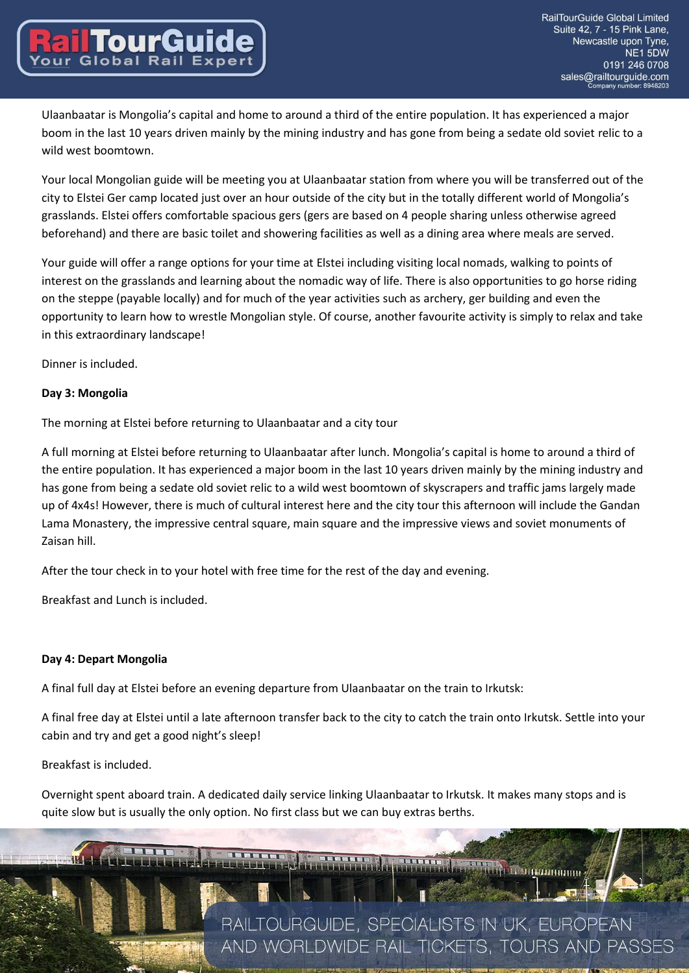Ulaanbaatar is Mongolia's capital and home to around a third of the entire population. It has experienced a major boom in the last 10 years driven mainly by the mining industry and has gone from being a sedate old soviet relic to a wild west boomtown.

Your local Mongolian guide will be meeting you at Ulaanbaatar station from where you will be transferred out of the city to Elstei Ger camp located just over an hour outside of the city but in the totally different world of Mongolia's grasslands. Elstei offers comfortable spacious gers (gers are based on 4 people sharing unless otherwise agreed beforehand) and there are basic toilet and showering facilities as well as a dining area where meals are served.

Your guide will offer a range options for your time at Elstei including visiting local nomads, walking to points of interest on the grasslands and learning about the nomadic way of life. There is also opportunities to go horse riding on the steppe (payable locally) and for much of the year activities such as archery, ger building and even the opportunity to learn how to wrestle Mongolian style. Of course, another favourite activity is simply to relax and take in this extraordinary landscape!

Dinner is included.

**TourGui** 

#### **Day 3: Mongolia**

The morning at Elstei before returning to Ulaanbaatar and a city tour

A full morning at Elstei before returning to Ulaanbaatar after lunch. Mongolia's capital is home to around a third of the entire population. It has experienced a major boom in the last 10 years driven mainly by the mining industry and has gone from being a sedate old soviet relic to a wild west boomtown of skyscrapers and traffic jams largely made up of 4x4s! However, there is much of cultural interest here and the city tour this afternoon will include the Gandan Lama Monastery, the impressive central square, main square and the impressive views and soviet monuments of Zaisan hill.

After the tour check in to your hotel with free time for the rest of the day and evening.

Breakfast and Lunch is included.

#### **Day 4: Depart Mongolia**

A final full day at Elstei before an evening departure from Ulaanbaatar on the train to Irkutsk:

A final free day at Elstei until a late afternoon transfer back to the city to catch the train onto Irkutsk. Settle into your cabin and try and get a good night's sleep!

Breakfast is included.

Overnight spent aboard train. A dedicated daily service linking Ulaanbaatar to Irkutsk. It makes many stops and is quite slow but is usually the only option. No first class but we can buy extras berths.

> RAILTOURGUIDE, SPECIALISTS IN UK, EUROPEAN AND WORLDWIDE RAIL TICKETS, TOURS AND PASSES

**REAL PROPERTY OF BRANDWING**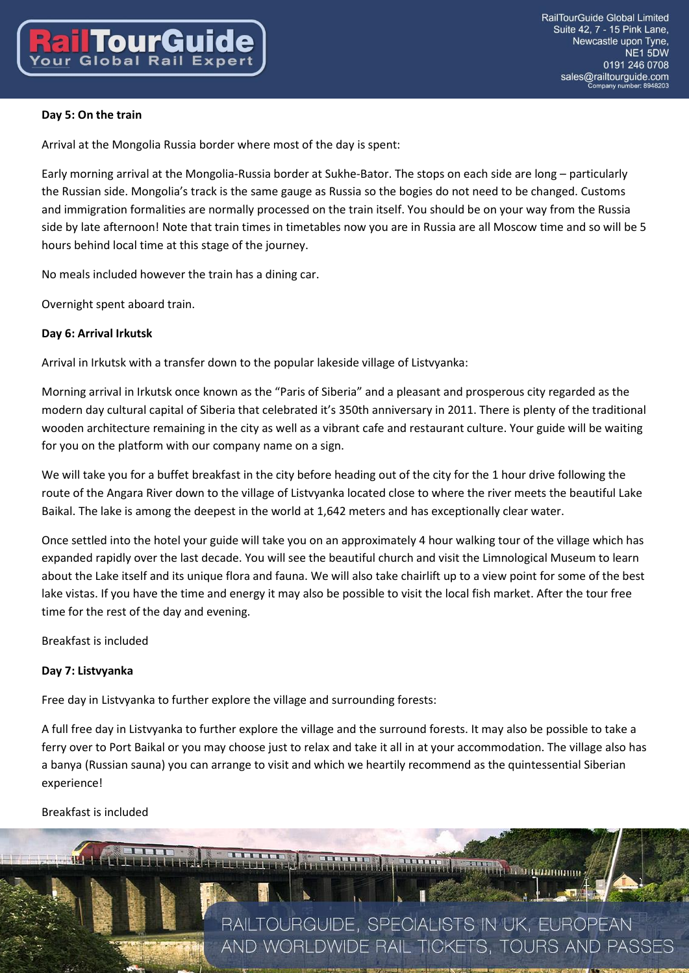# **Day 5: On the train**

Arrival at the Mongolia Russia border where most of the day is spent:

Early morning arrival at the Mongolia-Russia border at Sukhe-Bator. The stops on each side are long – particularly the Russian side. Mongolia's track is the same gauge as Russia so the bogies do not need to be changed. Customs and immigration formalities are normally processed on the train itself. You should be on your way from the Russia side by late afternoon! Note that train times in timetables now you are in Russia are all Moscow time and so will be 5 hours behind local time at this stage of the journey.

No meals included however the train has a dining car.

Overnight spent aboard train.

### **Day 6: Arrival Irkutsk**

Arrival in Irkutsk with a transfer down to the popular lakeside village of Listvyanka:

Morning arrival in Irkutsk once known as the "Paris of Siberia" and a pleasant and prosperous city regarded as the modern day cultural capital of Siberia that celebrated it's 350th anniversary in 2011. There is plenty of the traditional wooden architecture remaining in the city as well as a vibrant cafe and restaurant culture. Your guide will be waiting for you on the platform with our company name on a sign.

We will take you for a buffet breakfast in the city before heading out of the city for the 1 hour drive following the route of the Angara River down to the village of Listvyanka located close to where the river meets the beautiful Lake Baikal. The lake is among the deepest in the world at 1,642 meters and has exceptionally clear water.

Once settled into the hotel your guide will take you on an approximately 4 hour walking tour of the village which has expanded rapidly over the last decade. You will see the beautiful church and visit the Limnological Museum to learn about the Lake itself and its unique flora and fauna. We will also take chairlift up to a view point for some of the best lake vistas. If you have the time and energy it may also be possible to visit the local fish market. After the tour free time for the rest of the day and evening.

Breakfast is included

# **Day 7: Listvyanka**

Free day in Listvyanka to further explore the village and surrounding forests:

A full free day in Listvyanka to further explore the village and the surround forests. It may also be possible to take a ferry over to Port Baikal or you may choose just to relax and take it all in at your accommodation. The village also has a banya (Russian sauna) you can arrange to visit and which we heartily recommend as the quintessential Siberian experience!

Breakfast is included

 $\mathbf{1}$ 

RAILTOURGUIDE, SPECIALISTS IN UK, EUROPEAN AND WORLDWIDE RAIL TICKETS, TOURS AND PASSES

**AND A REPORT OF THE COMMUNISTIP**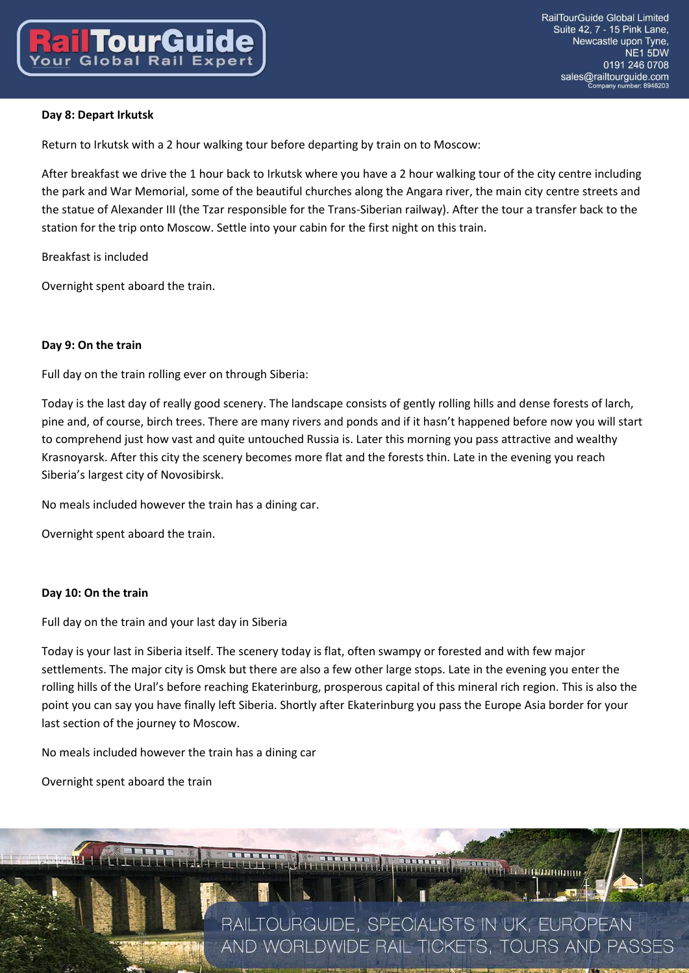# **Day 8: Depart Irkutsk**

Return to Irkutsk with a 2 hour walking tour before departing by train on to Moscow:

After breakfast we drive the 1 hour back to Irkutsk where you have a 2 hour walking tour of the city centre including the park and War Memorial, some of the beautiful churches along the Angara river, the main city centre streets and the statue of Alexander III (the Tzar responsible for the Trans-Siberian railway). After the tour a transfer back to the station for the trip onto Moscow. Settle into your cabin for the first night on this train.

Breakfast is included

Overnight spent aboard the train.

### **Day 9: On the train**

Full day on the train rolling ever on through Siberia:

Today is the last day of really good scenery. The landscape consists of gently rolling hills and dense forests of larch, pine and, of course, birch trees. There are many rivers and ponds and if it hasn't happened before now you will start to comprehend just how vast and quite untouched Russia is. Later this morning you pass attractive and wealthy Krasnoyarsk. After this city the scenery becomes more flat and the forests thin. Late in the evening you reach Siberia's largest city of Novosibirsk.

No meals included however the train has a dining car.

Overnight spent aboard the train.

#### **Day 10: On the train**

Full day on the train and your last day in Siberia

Today is your last in Siberia itself. The scenery today is flat, often swampy or forested and with few major settlements. The major city is Omsk but there are also a few other large stops. Late in the evening you enter the rolling hills of the Ural's before reaching Ekaterinburg, prosperous capital of this mineral rich region. This is also the point you can say you have finally left Siberia. Shortly after Ekaterinburg you pass the Europe Asia border for your last section of the journey to Moscow.

No meals included however the train has a dining car

Overnight spent aboard the train

RAILTOURGUIDE, SPECIALISTS IN UK, EUROPEAN AND WORLDWIDE RAIL TICKETS, TOURS AND PASSES

<u> Alexandria (Maria Antonio Alexandria)</u>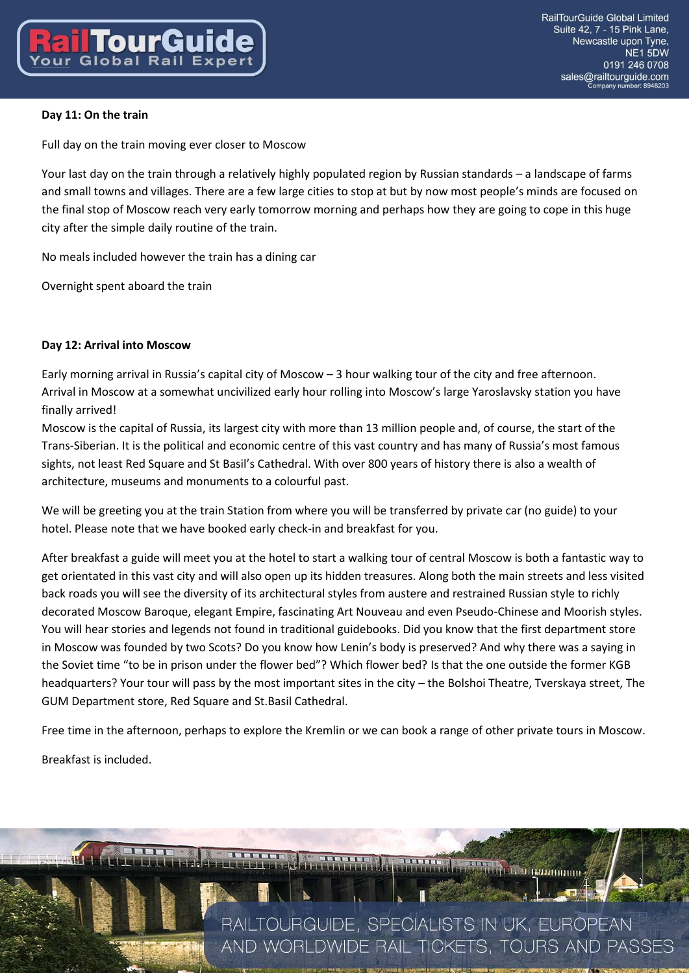# **Day 11: On the train**

Full day on the train moving ever closer to Moscow

Your last day on the train through a relatively highly populated region by Russian standards – a landscape of farms and small towns and villages. There are a few large cities to stop at but by now most people's minds are focused on the final stop of Moscow reach very early tomorrow morning and perhaps how they are going to cope in this huge city after the simple daily routine of the train.

No meals included however the train has a dining car

Overnight spent aboard the train

### **Day 12: Arrival into Moscow**

Early morning arrival in Russia's capital city of Moscow – 3 hour walking tour of the city and free afternoon. Arrival in Moscow at a somewhat uncivilized early hour rolling into Moscow's large Yaroslavsky station you have finally arrived!

Moscow is the capital of Russia, its largest city with more than 13 million people and, of course, the start of the Trans-Siberian. It is the political and economic centre of this vast country and has many of Russia's most famous sights, not least Red Square and St Basil's Cathedral. With over 800 years of history there is also a wealth of architecture, museums and monuments to a colourful past.

We will be greeting you at the train Station from where you will be transferred by private car (no guide) to your hotel. Please note that we have booked early check-in and breakfast for you.

After breakfast a guide will meet you at the hotel to start a walking tour of central Moscow is both a fantastic way to get orientated in this vast city and will also open up its hidden treasures. Along both the main streets and less visited back roads you will see the diversity of its architectural styles from austere and restrained Russian style to richly decorated Moscow Baroque, elegant Empire, fascinating Art Nouveau and even Pseudo-Chinese and Moorish styles. You will hear stories and legends not found in traditional guidebooks. Did you know that the first department store in Moscow was founded by two Scots? Do you know how Lenin's body is preserved? And why there was a saying in the Soviet time "to be in prison under the flower bed"? Which flower bed? Is that the one outside the former KGB headquarters? Your tour will pass by the most important sites in the city – the Bolshoi Theatre, Tverskaya street, The GUM Department store, Red Square and St.Basil Cathedral.

Free time in the afternoon, perhaps to explore the Kremlin or we can book a range of other private tours in Moscow.

Breakfast is included.

RAILTOURGUIDE, SPECIALISTS IN UK, EUROPEAN AND WORLDWIDE RAIL TICKETS, TOURS AND PASSES

**REAL PROPERTY OF BULGARIA DISPONED**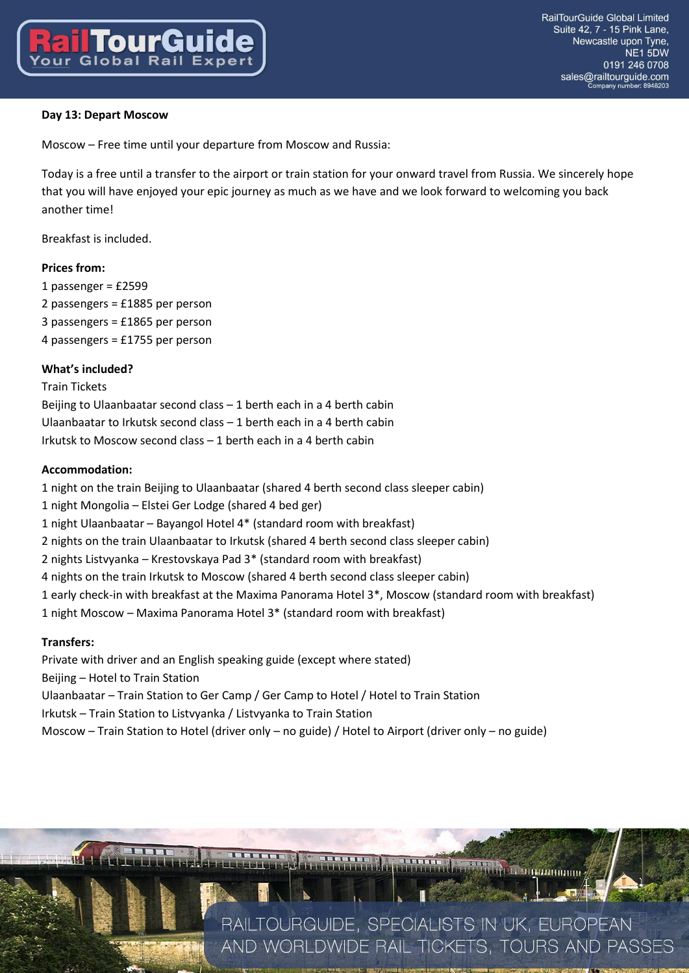# **Day 13: Depart Moscow**

Moscow – Free time until your departure from Moscow and Russia:

Today is a free until a transfer to the airport or train station for your onward travel from Russia. We sincerely hope that you will have enjoyed your epic journey as much as we have and we look forward to welcoming you back another time!

Breakfast is included.

#### **Prices from:**

1 passenger = £2599 2 passengers = £1885 per person 3 passengers = £1865 per person 4 passengers = £1755 per person

#### **What's included?**

Train Tickets Beijing to Ulaanbaatar second class – 1 berth each in a 4 berth cabin Ulaanbaatar to Irkutsk second class – 1 berth each in a 4 berth cabin Irkutsk to Moscow second class – 1 berth each in a 4 berth cabin

#### **Accommodation:**

1 night on the train Beijing to Ulaanbaatar (shared 4 berth second class sleeper cabin) 1 night Mongolia – Elstei Ger Lodge (shared 4 bed ger) 1 night Ulaanbaatar – Bayangol Hotel 4\* (standard room with breakfast) 2 nights on the train Ulaanbaatar to Irkutsk (shared 4 berth second class sleeper cabin) 2 nights Listvyanka – Krestovskaya Pad 3\* (standard room with breakfast) 4 nights on the train Irkutsk to Moscow (shared 4 berth second class sleeper cabin) 1 early check-in with breakfast at the Maxima Panorama Hotel 3\*, Moscow (standard room with breakfast) 1 night Moscow – Maxima Panorama Hotel 3\* (standard room with breakfast)

#### **Transfers:**

Private with driver and an English speaking guide (except where stated) Beijing – Hotel to Train Station Ulaanbaatar – Train Station to Ger Camp / Ger Camp to Hotel / Hotel to Train Station Irkutsk – Train Station to Listvyanka / Listvyanka to Train Station Moscow – Train Station to Hotel (driver only – no guide) / Hotel to Airport (driver only – no guide)

> RAILTOURGUIDE, SPECIALISTS IN UK, EUROPEAN AND WORLDWIDE RAIL TICKETS, TOURS AND PASSES

**REGIONAL COMMUNISMENT**